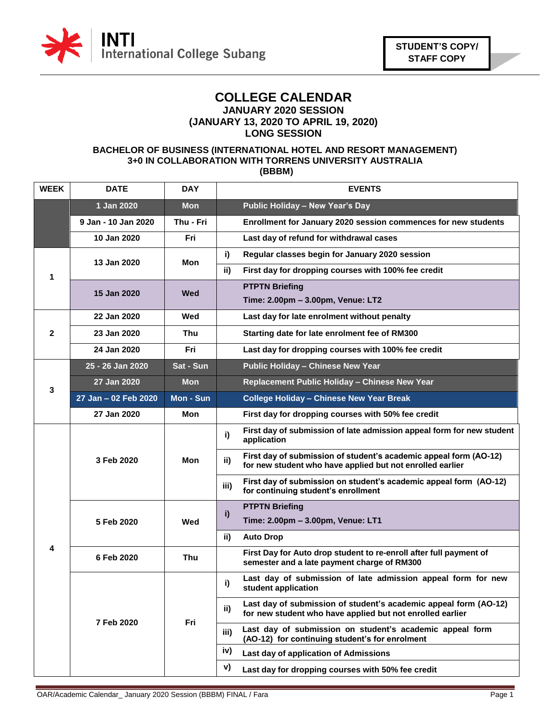

### **COLLEGE CALENDAR JANUARY 2020 SESSION (JANUARY 13, 2020 TO APRIL 19, 2020) LONG SESSION**

### **BACHELOR OF BUSINESS (INTERNATIONAL HOTEL AND RESORT MANAGEMENT) 3+0 IN COLLABORATION WITH TORRENS UNIVERSITY AUSTRALIA (BBBM)**

| <b>WEEK</b>  | <b>DATE</b>          | <b>DAY</b> | <b>EVENTS</b>                                                                                                                         |
|--------------|----------------------|------------|---------------------------------------------------------------------------------------------------------------------------------------|
|              | 1 Jan 2020           | <b>Mon</b> | Public Holiday - New Year's Day                                                                                                       |
|              | 9 Jan - 10 Jan 2020  | Thu - Fri  | Enrollment for January 2020 session commences for new students                                                                        |
|              | 10 Jan 2020          | Fri        | Last day of refund for withdrawal cases                                                                                               |
| 1            | 13 Jan 2020          | Mon        | i)<br>Regular classes begin for January 2020 session                                                                                  |
|              |                      |            | ii)<br>First day for dropping courses with 100% fee credit                                                                            |
|              | 15 Jan 2020          | Wed        | <b>PTPTN Briefing</b>                                                                                                                 |
|              |                      |            | Time: 2.00pm - 3.00pm, Venue: LT2                                                                                                     |
|              | 22 Jan 2020          | Wed        | Last day for late enrolment without penalty                                                                                           |
| $\mathbf{2}$ | 23 Jan 2020          | Thu        | Starting date for late enrolment fee of RM300                                                                                         |
|              | 24 Jan 2020          | Fri        | Last day for dropping courses with 100% fee credit                                                                                    |
|              | 25 - 26 Jan 2020     | Sat - Sun  | <b>Public Holiday - Chinese New Year</b>                                                                                              |
| 3            | 27 Jan 2020          | Mon        | Replacement Public Holiday - Chinese New Year                                                                                         |
|              | 27 Jan - 02 Feb 2020 | Mon - Sun  | <b>College Holiday - Chinese New Year Break</b>                                                                                       |
|              | 27 Jan 2020          | Mon        | First day for dropping courses with 50% fee credit                                                                                    |
|              | 3 Feb 2020           | Mon        | First day of submission of late admission appeal form for new student<br>i)<br>application                                            |
|              |                      |            | First day of submission of student's academic appeal form (AO-12)<br>ii)<br>for new student who have applied but not enrolled earlier |
|              |                      |            | First day of submission on student's academic appeal form (AO-12)<br>iii)<br>for continuing student's enrollment                      |
|              | 5 Feb 2020           | Wed        | <b>PTPTN Briefing</b><br>i)                                                                                                           |
|              |                      |            | Time: 2.00pm - 3.00pm, Venue: LT1                                                                                                     |
| 4            |                      |            | ii)<br><b>Auto Drop</b>                                                                                                               |
|              | 6 Feb 2020           | Thu        | First Day for Auto drop student to re-enroll after full payment of<br>semester and a late payment charge of RM300                     |
|              | 7 Feb 2020           | Fri        | Last day of submission of late admission appeal form for new<br>i)<br>student application                                             |
|              |                      |            | Last day of submission of student's academic appeal form (AO-12)<br>ii)<br>for new student who have applied but not enrolled earlier  |
|              |                      |            | Last day of submission on student's academic appeal form<br>iii)<br>(AO-12) for continuing student's for enrolment                    |
|              |                      |            | iv)<br>Last day of application of Admissions                                                                                          |
|              |                      |            | v)<br>Last day for dropping courses with 50% fee credit                                                                               |